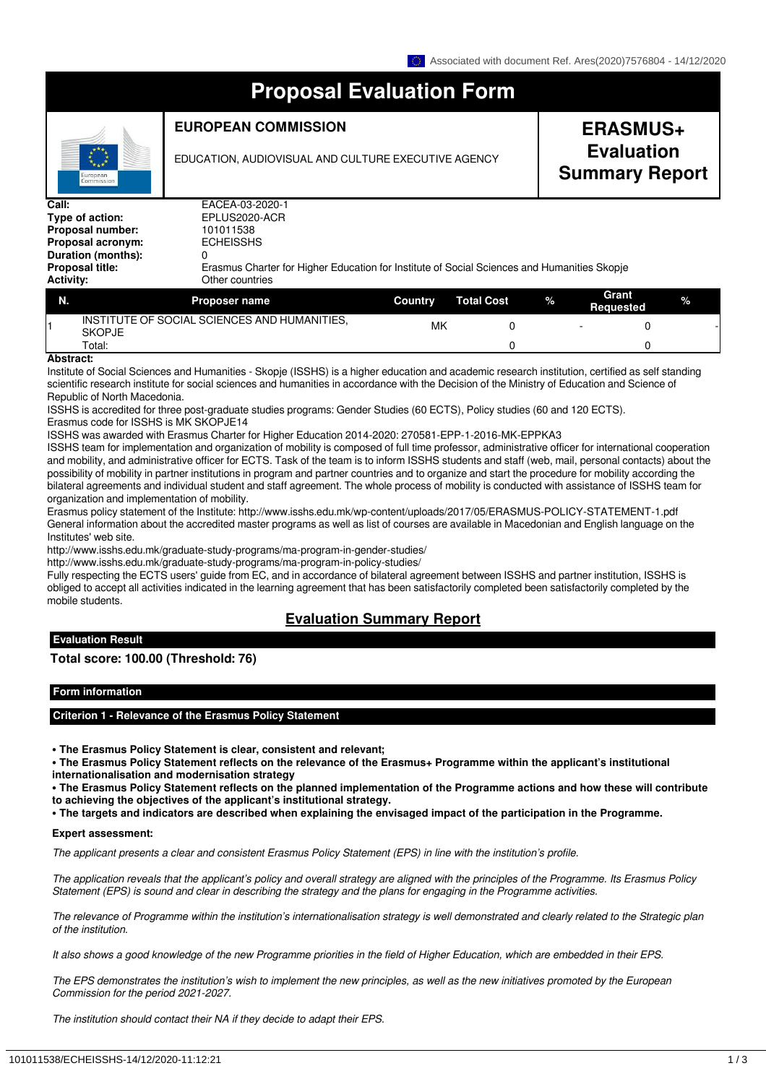# **Proposal Evaluation Form**

## **EUROPEAN COMMISSION**

**Type of action:** EPLUS2020-ACR

EDUCATION, AUDIOVISUAL AND CULTURE EXECUTIVE AGENCY

## **ERASMUS+ Evaluation Summary Report**

**Call:** EACEA-03-2020-1<br> **Type of action:** EPLUS2020-ACR **Proposal acronym: Duration (months):** 0

**Proposal number:** 101011538<br>**Proposal acronym:** ECHEISSHS **Proposal title:** Erasmus Charter for Higher Education for Institute of Social Sciences and Humanities Skopje **Activity:** Other countries

| N. | <b>Proposer name</b>                                          | Country | <b>Total Cost</b> | $\%$ | Grant<br><b>Requested</b> |  |
|----|---------------------------------------------------------------|---------|-------------------|------|---------------------------|--|
|    | INSTITUTE OF SOCIAL SCIENCES AND HUMANITIES,<br><b>SKOPJE</b> | MK      |                   |      |                           |  |
| .  | Total:                                                        |         |                   |      |                           |  |

#### **Abstract:**

Institute of Social Sciences and Humanities - Skopje (ISSHS) is a higher education and academic research institution, certified as self standing scientific research institute for social sciences and humanities in accordance with the Decision of the Ministry of Education and Science of Republic of North Macedonia.

ISSHS is accredited for three post-graduate studies programs: Gender Studies (60 ECTS), Policy studies (60 and 120 ECTS). Erasmus code for ISSHS is MK SKOPJE14

ISSHS was awarded with Erasmus Charter for Higher Education 2014-2020: 270581-EPP-1-2016-MK-EPPKA3

ISSHS team for implementation and organization of mobility is composed of full time professor, administrative officer for international cooperation and mobility, and administrative officer for ECTS. Task of the team is to inform ISSHS students and staff (web, mail, personal contacts) about the possibility of mobility in partner institutions in program and partner countries and to organize and start the procedure for mobility according the bilateral agreements and individual student and staff agreement. The whole process of mobility is conducted with assistance of ISSHS team for organization and implementation of mobility.

Erasmus policy statement of the Institute: http://www.isshs.edu.mk/wp-content/uploads/2017/05/ERASMUS-POLICY-STATEMENT-1.pdf General information about the accredited master programs as well as list of courses are available in Macedonian and English language on the Institutes' web site.

http://www.isshs.edu.mk/graduate-study-programs/ma-program-in-gender-studies/

http://www.isshs.edu.mk/graduate-study-programs/ma-program-in-policy-studies/

Fully respecting the ECTS users' guide from EC, and in accordance of bilateral agreement between ISSHS and partner institution, ISSHS is obliged to accept all activities indicated in the learning agreement that has been satisfactorily completed been satisfactorily completed by the mobile students.

## **Evaluation Summary Report**

#### **Evaluation Result**

## **Total score: 100.00 (Threshold: 76)**

#### **Form information**

## **Criterion 1 - Relevance of the Erasmus Policy Statement**

**• The Erasmus Policy Statement is clear, consistent and relevant;**

**• The Erasmus Policy Statement reflects on the relevance of the Erasmus+ Programme within the applicant's institutional internationalisation and modernisation strategy**

**• The Erasmus Policy Statement reflects on the planned implementation of the Programme actions and how these will contribute to achieving the objectives of the applicant's institutional strategy.**

**• The targets and indicators are described when explaining the envisaged impact of the participation in the Programme.**

## **Expert assessment:**

*The applicant presents a clear and consistent Erasmus Policy Statement (EPS) in line with the institution's profile.*

*The application reveals that the applicant's policy and overall strategy are aligned with the principles of the Programme. Its Erasmus Policy Statement (EPS) is sound and clear in describing the strategy and the plans for engaging in the Programme activities.*

*The relevance of Programme within the institution's internationalisation strategy is well demonstrated and clearly related to the Strategic plan of the institution.*

*It also shows a good knowledge of the new Programme priorities in the field of Higher Education, which are embedded in their EPS.*

*The EPS demonstrates the institution's wish to implement the new principles, as well as the new initiatives promoted by the European Commission for the period 2021-2027.*

*The institution should contact their NA if they decide to adapt their EPS.*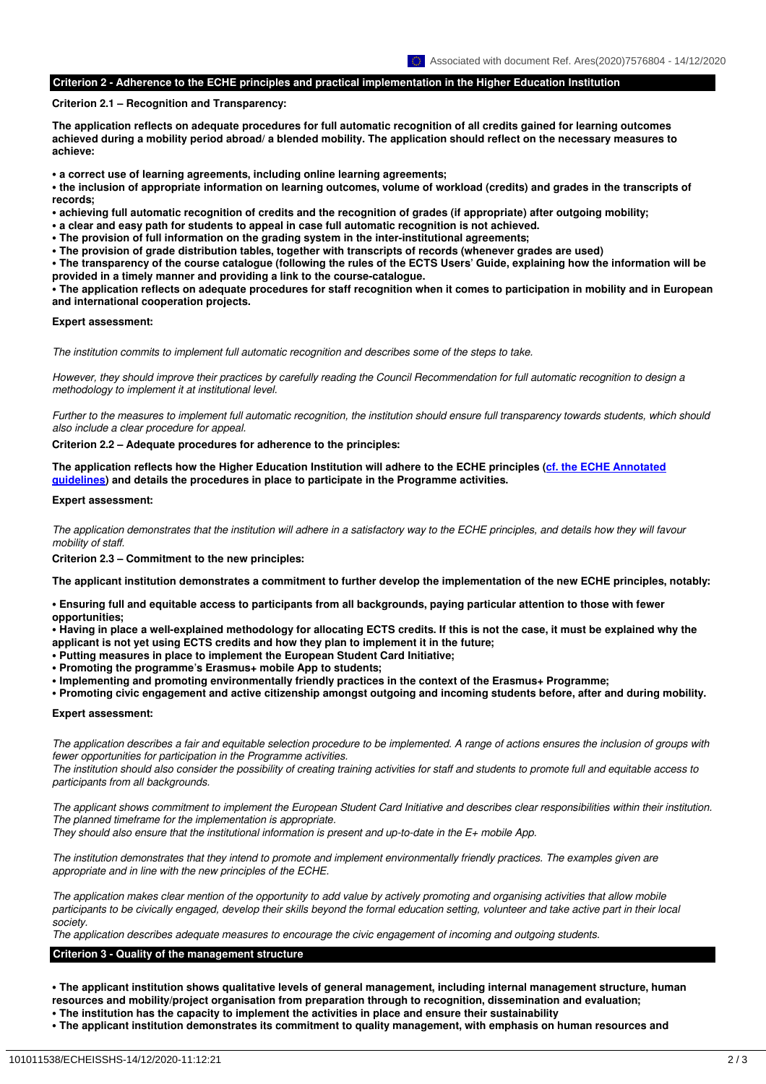#### **Criterion 2 - Adherence to the ECHE principles and practical implementation in the Higher Education Institution**

#### **Criterion 2.1 – Recognition and Transparency:**

**The application reflects on adequate procedures for full automatic recognition of all credits gained for learning outcomes achieved during a mobility period abroad/ a blended mobility. The application should reflect on the necessary measures to achieve:**

**• a correct use of learning agreements, including online learning agreements;**

**• the inclusion of appropriate information on learning outcomes, volume of workload (credits) and grades in the transcripts of records;**

**• achieving full automatic recognition of credits and the recognition of grades (if appropriate) after outgoing mobility;**

**• a clear and easy path for students to appeal in case full automatic recognition is not achieved.**

**• The provision of full information on the grading system in the inter-institutional agreements;**

**• The provision of grade distribution tables, together with transcripts of records (whenever grades are used)**

**• The transparency of the course catalogue (following the rules of the ECTS Users' Guide, explaining how the information will be provided in a timely manner and providing a link to the course-catalogue.**

**• The application reflects on adequate procedures for staff recognition when it comes to participation in mobility and in European and international cooperation projects.**

#### **Expert assessment:**

*The institution commits to implement full automatic recognition and describes some of the steps to take.*

*However, they should improve their practices by carefully reading the Council Recommendation for full automatic recognition to design a methodology to implement it at institutional level.*

*Further to the measures to implement full automatic recognition, the institution should ensure full transparency towards students, which should also include a clear procedure for appeal.*

#### **Criterion 2.2 – Adequate procedures for adherence to the principles:**

**The application reflects how the Higher Education Institution will adhere to the ECHE principles [\(cf. the ECHE Annotated](https://ec.europa.eu/programmes/erasmus-plus/resources/documents/erasmus-charter-higher-education-2021-2027-guidelines_en) [guidelines\)](https://ec.europa.eu/programmes/erasmus-plus/resources/documents/erasmus-charter-higher-education-2021-2027-guidelines_en) and details the procedures in place to participate in the Programme activities.**

#### **Expert assessment:**

*The application demonstrates that the institution will adhere in a satisfactory way to the ECHE principles, and details how they will favour mobility of staff.*

**Criterion 2.3 – Commitment to the new principles:**

**The applicant institution demonstrates a commitment to further develop the implementation of the new ECHE principles, notably:**

**• Ensuring full and equitable access to participants from all backgrounds, paying particular attention to those with fewer opportunities;**

**• Having in place a well-explained methodology for allocating ECTS credits. If this is not the case, it must be explained why the applicant is not yet using ECTS credits and how they plan to implement it in the future;**

- **Putting measures in place to implement the European Student Card Initiative;**
- **Promoting the programme's Erasmus+ mobile App to students;**
- **Implementing and promoting environmentally friendly practices in the context of the Erasmus+ Programme;**

**• Promoting civic engagement and active citizenship amongst outgoing and incoming students before, after and during mobility.**

#### **Expert assessment:**

*The application describes a fair and equitable selection procedure to be implemented. A range of actions ensures the inclusion of groups with fewer opportunities for participation in the Programme activities.*

*The institution should also consider the possibility of creating training activities for staff and students to promote full and equitable access to participants from all backgrounds.*

*The applicant shows commitment to implement the European Student Card Initiative and describes clear responsibilities within their institution. The planned timeframe for the implementation is appropriate.*

*They should also ensure that the institutional information is present and up-to-date in the E+ mobile App.*

*The institution demonstrates that they intend to promote and implement environmentally friendly practices. The examples given are appropriate and in line with the new principles of the ECHE.*

*The application makes clear mention of the opportunity to add value by actively promoting and organising activities that allow mobile participants to be civically engaged, develop their skills beyond the formal education setting, volunteer and take active part in their local society.*

*The application describes adequate measures to encourage the civic engagement of incoming and outgoing students.*

#### **Criterion 3 - Quality of the management structure**

**• The applicant institution shows qualitative levels of general management, including internal management structure, human resources and mobility/project organisation from preparation through to recognition, dissemination and evaluation;**

- **The institution has the capacity to implement the activities in place and ensure their sustainability**
- **The applicant institution demonstrates its commitment to quality management, with emphasis on human resources and**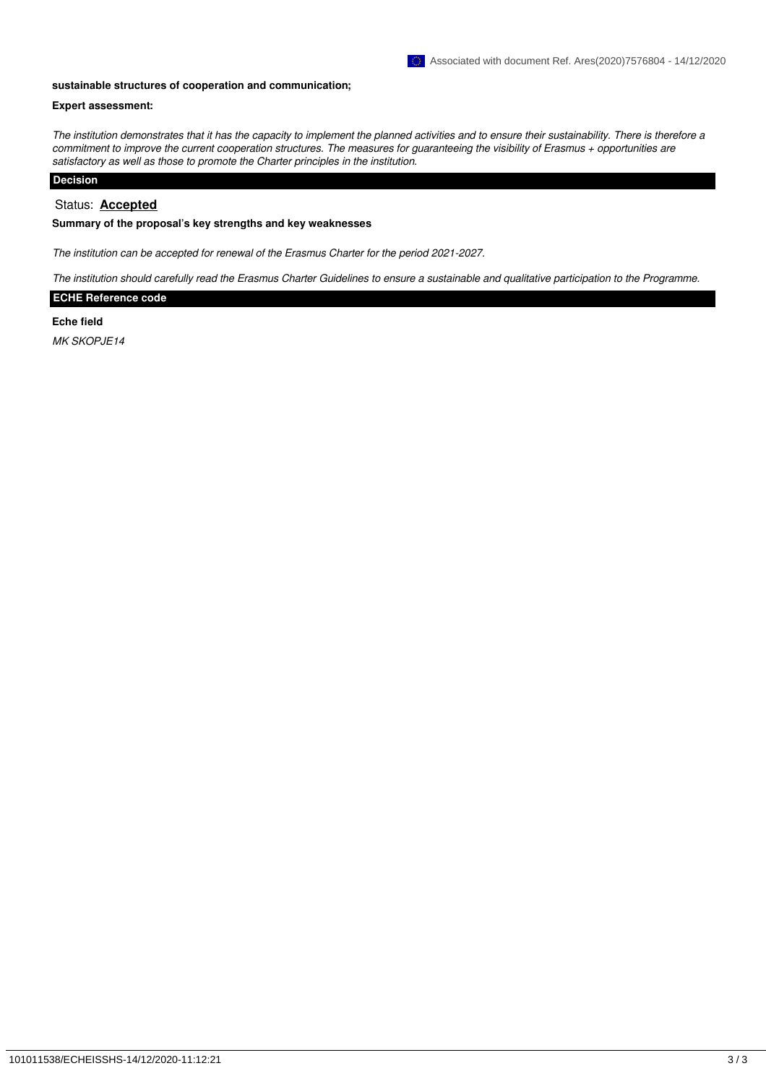#### **sustainable structures of cooperation and communication;**

## **Expert assessment:**

*The institution demonstrates that it has the capacity to implement the planned activities and to ensure their sustainability. There is therefore a commitment to improve the current cooperation structures. The measures for guaranteeing the visibility of Erasmus + opportunities are satisfactory as well as those to promote the Charter principles in the institution.*

## **Decision**

## Status: **Accepted**

#### **Summary of the proposal's key strengths and key weaknesses**

*The institution can be accepted for renewal of the Erasmus Charter for the period 2021-2027.*

*The institution should carefully read the Erasmus Charter Guidelines to ensure a sustainable and qualitative participation to the Programme.*

#### **ECHE Reference code**

#### **Eche field**

*MK SKOPJE14*